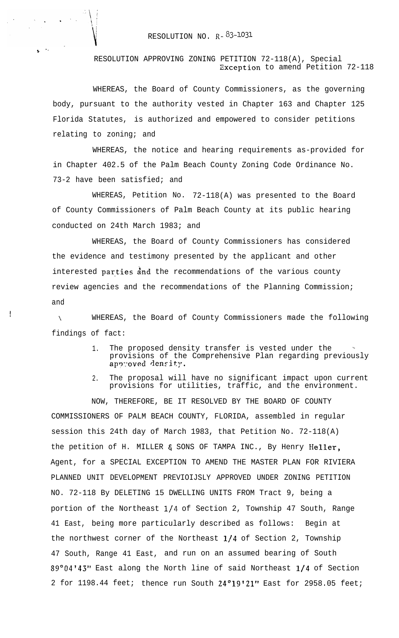## RESOLUTION NO.  $R - 83 - 1031$

## RESOLUTION APPROVING ZONING PETITION 72-118(A), Special Exception to amend Petition 72-118

WHEREAS, the Board of County Commissioners, as the governing body, pursuant to the authority vested in Chapter 163 and Chapter 125 Florida Statutes, is authorized and empowered to consider petitions relating to zoning; and

WHEREAS, the notice and hearing requirements as-provided for in Chapter 402.5 of the Palm Beach County Zoning Code Ordinance No. 73-2 have been satisfied; and

WHEREAS, Petition No. 72-118(A) was presented to the Board of County Commissioners of Palm Beach County at its public hearing conducted on 24th March 1983; and

WHEREAS, the Board of County Commissioners has considered the evidence and testimony presented by the applicant and other interested parties and the recommendations of the various county review agencies and the recommendations of the Planning Commission; and

I

t -.

> \ WHEREAS, the Board of County Commissioners made the following findings of fact:

- 1. The proposed density transfer is vested under the provisions of the Comprehensive Plan regarding previously approved density.
- 2. The proposal will have no significant impact upon current provisions for utilities, traffic, and the environment.

NOW, THEREFORE, BE IT RESOLVED BY THE BOARD OF COUNTY COMMISSIONERS OF PALM BEACH COUNTY, FLORIDA, assembled in regular session this 24th day of March 1983, that Petition No. 72-118(A) the petition of H. MILLER & SONS OF TAMPA INC., By Henry Heller, Agent, for a SPECIAL EXCEPTION TO AMEND THE MASTER PLAN FOR RIVIERA PLANNED UNIT DEVELOPMENT PREVIOIJSLY APPROVED UNDER ZONING PETITION NO. 72-118 By DELETING 15 DWELLING UNITS FROM Tract 9, being a portion of the Northeast l/4 of Section 2, Township 47 South, Range 41 East, being more particularly described as follows: Begin at the northwest corner of the Northeast  $1/4$  of Section 2, Township 47 South, Range 41 East, and run on an assumed bearing of South 89"04'43" East along the North line of said Northeast l/4 of Section 2 for 1198.44 feet; thence run South 24°19'21" East for 2958.05 feet;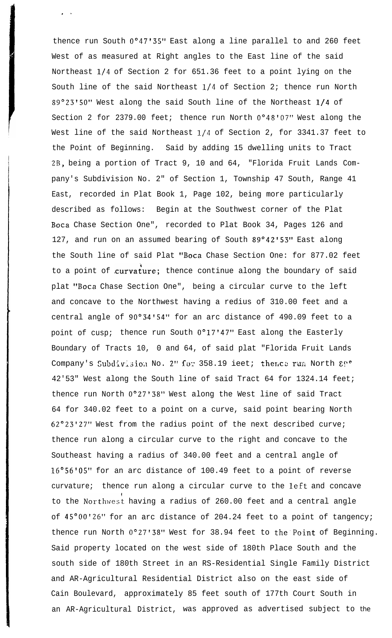thence run South O"47'35" East along a line parallel to and 260 feet West of as measured at Right angles to the East line of the said Northeast l/4 of Section 2 for 651.36 feet to a point lying on the South line of the said Northeast l/4 of Section 2; thence run North 89°23'50" West along the said South line of the Northeast 1/4 of Section 2 for 2379.00 feet; thence run North  $0°48'07"$  West along the West line of the said Northeast l/4 of Section 2, for 3341.37 feet to the Point of Beginning. Said by adding 15 dwelling units to Tract ZB, being a portion of Tract 9, 10 and 64, "Florida Fruit Lands Company's Subdivision No. 2" of Section 1, Township 47 South, Range 41 East, recorded in Plat Book 1, Page 102, being more particularly described as follows: Begin at the Southwest corner of the Plat Boca Chase Section One", recorded to Plat Book 34, Pages 126 and 127, and run on an assumed bearing of South 89°42'53" East along the South line of said Plat "Boca Chase Section One: for 877.02 feet to a point of curvature; thence continue along the boundary of said plat "Boca Chase Section One", being a circular curve to the left and concave to the Northwest having a redius of 310.00 feet and a central angle of 90'34'54" for an arc distance of 490.09 feet to a point of cusp; thence run South  $0^{\circ}17'47''$  East along the Easterly Boundary of Tracts 10, 0 and 64, of said plat "Florida Fruit Lands Company's Subdivision No. 2" for 358.19 ieet; thence run North & !!" 42'53" West along the South line of said Tract 64 for 1324.14 feet; thence run North  $0^{\circ}27'38"$  West along the West line of said Tract 64 for 340.02 feet to a point on a curve, said point bearing North 62"23'27" West from the radius point of the next described curve; thence run along a circular curve to the right and concave to the Southeast having a radius of 340.00 feet and a central angle of 16"56'05" for an arc distance of 100.49 feet to a point of reverse curvature; thence run along a circular curve to the left and concave to the Northwest having a radius of 260.00 feet and a central angle of 45°00'26" for an arc distance of 204.24 feet to a point of tangency; thence run North 0°27'38" West for 38.94 feet to the Point of Beginning. Said property located on the west side of 180th Place South and the south side of 180th Street in an RS-Residential Single Family District and AR-Agricultural Residential District also on the east side of Cain Boulevard, approximately 85 feet south of 177th Court South in an AR-Agricultural District, was approved as advertised subject to the

, .